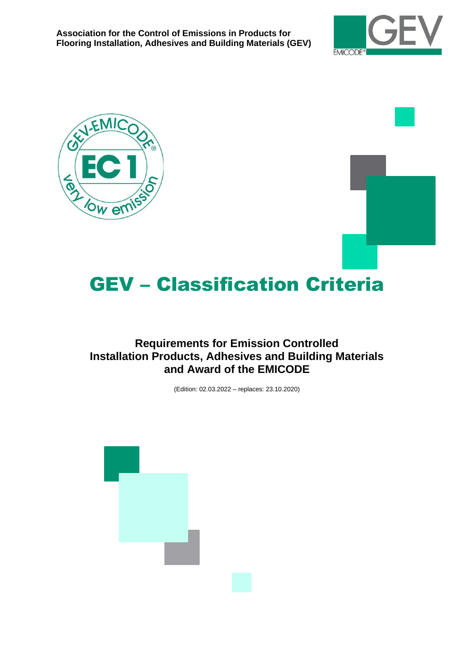





# GEV – Classification Criteria

# **Requirements for Emission Controlled Installation Products, Adhesives and Building Materials and Award of the EMICODE**

(Edition: 02.03.2022 – replaces: 23.10.2020)

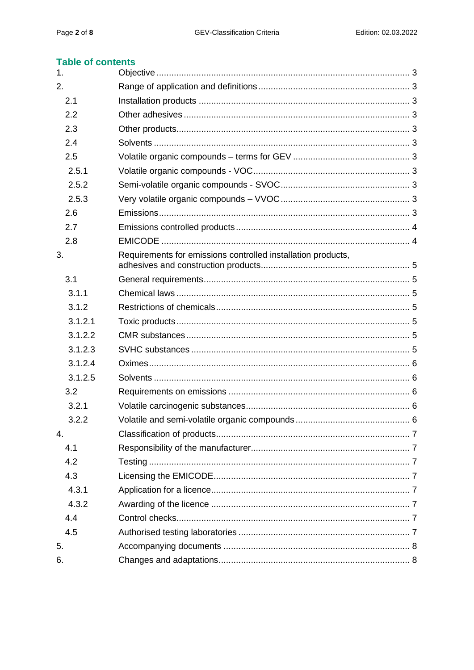# **Table of contents**

| 1.      |                                                              |  |
|---------|--------------------------------------------------------------|--|
| 2.      |                                                              |  |
| 2.1     |                                                              |  |
| 2.2     |                                                              |  |
| 2.3     |                                                              |  |
| 2.4     |                                                              |  |
| 2.5     |                                                              |  |
| 2.5.1   |                                                              |  |
| 2.5.2   |                                                              |  |
| 2.5.3   |                                                              |  |
| 2.6     |                                                              |  |
| 2.7     |                                                              |  |
| 2.8     |                                                              |  |
| 3.      | Requirements for emissions controlled installation products, |  |
| 3.1     |                                                              |  |
| 3.1.1   |                                                              |  |
| 3.1.2   |                                                              |  |
| 3.1.2.1 |                                                              |  |
| 3.1.2.2 |                                                              |  |
| 3.1.2.3 |                                                              |  |
| 3.1.2.4 |                                                              |  |
| 3.1.2.5 |                                                              |  |
| 3.2     |                                                              |  |
| 3.2.1   |                                                              |  |
| 3.2.2   |                                                              |  |
| 4.      |                                                              |  |
| 4.1     |                                                              |  |
| 4.2     |                                                              |  |
| 4.3     |                                                              |  |
| 4.3.1   |                                                              |  |
| 4.3.2   |                                                              |  |
| 4.4     |                                                              |  |
| 4.5     |                                                              |  |
| 5.      |                                                              |  |
| 6.      |                                                              |  |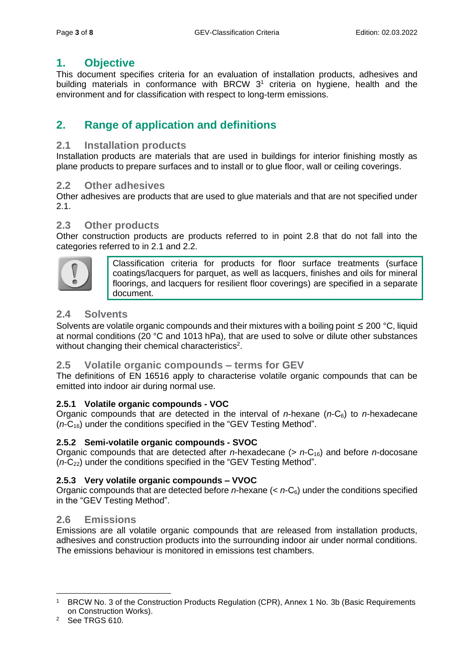# <span id="page-2-0"></span>**1. Objective**

This document specifies criteria for an evaluation of installation products, adhesives and building materials in conformance with BRCW 3<sup>1</sup> criteria on hygiene, health and the environment and for classification with respect to long-term emissions.

# <span id="page-2-1"></span>**2. Range of application and definitions**

# <span id="page-2-2"></span>**2.1 Installation products**

Installation products are materials that are used in buildings for interior finishing mostly as plane products to prepare surfaces and to install or to glue floor, wall or ceiling coverings.

# <span id="page-2-3"></span>**2.2 Other adhesives**

Other adhesives are products that are used to glue materials and that are not specified under 2.1.

# <span id="page-2-4"></span>**2.3 Other products**

Other construction products are products referred to in point 2.8 that do not fall into the categories referred to in 2.1 and 2.2.



Classification criteria for products for floor surface treatments (surface coatings/lacquers for parquet, as well as lacquers, finishes and oils for mineral floorings, and lacquers for resilient floor coverings) are specified in a separate document.

# <span id="page-2-5"></span>**2.4 Solvents**

Solvents are volatile organic compounds and their mixtures with a boiling point  $\leq 200$  °C, liquid at normal conditions (20 °C and 1013 hPa), that are used to solve or dilute other substances without changing their chemical characteristics<sup>2</sup>.

# <span id="page-2-6"></span>**2.5 Volatile organic compounds – terms for GEV**

The definitions of EN 16516 apply to characterise volatile organic compounds that can be emitted into indoor air during normal use.

#### <span id="page-2-7"></span>**2.5.1 Volatile organic compounds - VOC**

Organic compounds that are detected in the interval of *n*-hexane (*n*-C6) to *n*-hexadecane (*n*-C16) under the conditions specified in the "GEV Testing Method".

#### <span id="page-2-8"></span>**2.5.2 Semi-volatile organic compounds - SVOC**

Organic compounds that are detected after *n*-hexadecane (> *n*-C16) and before *n*-docosane (*n*-C<sub>22</sub>) under the conditions specified in the "GEV Testing Method".

#### <span id="page-2-9"></span>**2.5.3 Very volatile organic compounds – VVOC**

Organic compounds that are detected before *n*-hexane (< *n*-C6) under the conditions specified in the "GEV Testing Method".

# <span id="page-2-10"></span>**2.6 Emissions**

Emissions are all volatile organic compounds that are released from installation products, adhesives and construction products into the surrounding indoor air under normal conditions. The emissions behaviour is monitored in emissions test chambers.

<sup>&</sup>lt;sup>1</sup> BRCW No. 3 of the Construction Products Regulation (CPR), Annex 1 No. 3b (Basic Requirements on Construction Works).

<sup>2</sup> See TRGS 610.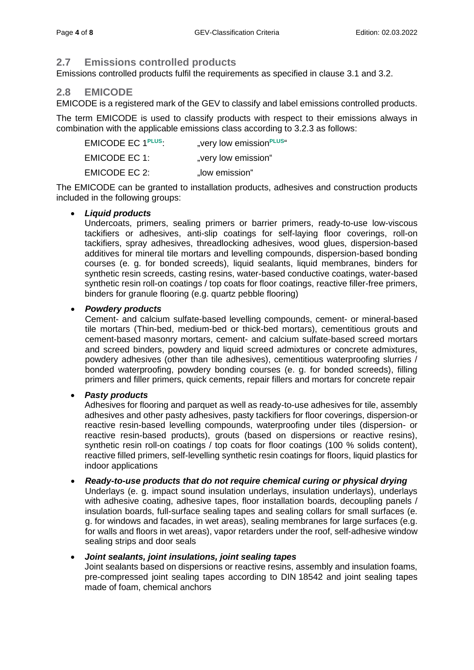# <span id="page-3-0"></span>**2.7 Emissions controlled products**

Emissions controlled products fulfil the requirements as specified in clause 3.1 and 3.2.

# <span id="page-3-1"></span>**2.8 EMICODE**

EMICODE is a registered mark of the GEV to classify and label emissions controlled products.

The term EMICODE is used to classify products with respect to their emissions always in combination with the applicable emissions class according to 3.2.3 as follows:

| EMICODE EC 1 <sup>PLUS</sup> : | "very low emission <sup>PLUS"</sup> |
|--------------------------------|-------------------------------------|
| EMICODE EC 1:                  | "very low emission"                 |
| <b>EMICODE EC 2:</b>           | "low emission"                      |

The EMICODE can be granted to installation products, adhesives and construction products included in the following groups:

#### • *Liquid products*

Undercoats, primers, sealing primers or barrier primers, ready-to-use low-viscous tackifiers or adhesives, anti-slip coatings for self-laying floor coverings, roll-on tackifiers, spray adhesives, threadlocking adhesives, wood glues, dispersion-based additives for mineral tile mortars and levelling compounds, dispersion-based bonding courses (e. g. for bonded screeds), liquid sealants, liquid membranes, binders for synthetic resin screeds, casting resins, water-based conductive coatings, water-based synthetic resin roll-on coatings / top coats for floor coatings, reactive filler-free primers, binders for granule flooring (e.g. quartz pebble flooring)

#### • *Powdery products*

Cement- and calcium sulfate-based levelling compounds, cement- or mineral-based tile mortars (Thin-bed, medium-bed or thick-bed mortars), cementitious grouts and cement-based masonry mortars, cement- and calcium sulfate-based screed mortars and screed binders, powdery and liquid screed admixtures or concrete admixtures, powdery adhesives (other than tile adhesives), cementitious waterproofing slurries / bonded waterproofing, powdery bonding courses (e. g. for bonded screeds), filling primers and filler primers, quick cements, repair fillers and mortars for concrete repair

#### • *Pasty products*

Adhesives for flooring and parquet as well as ready-to-use adhesives for tile, assembly adhesives and other pasty adhesives, pasty tackifiers for floor coverings, dispersion-or reactive resin-based levelling compounds, waterproofing under tiles (dispersion- or reactive resin-based products), grouts (based on dispersions or reactive resins), synthetic resin roll-on coatings / top coats for floor coatings (100 % solids content), reactive filled primers, self-levelling synthetic resin coatings for floors, liquid plastics for indoor applications

#### • *Ready-to-use products that do not require chemical curing or physical drying*

Underlays (e. g. impact sound insulation underlays, insulation underlays), underlays with adhesive coating, adhesive tapes, floor installation boards, decoupling panels / insulation boards, full-surface sealing tapes and sealing collars for small surfaces (e. g. for windows and facades, in wet areas), sealing membranes for large surfaces (e.g. for walls and floors in wet areas), vapor retarders under the roof, self-adhesive window sealing strips and door seals

#### • *Joint sealants, joint insulations, joint sealing tapes*

Joint sealants based on dispersions or reactive resins, assembly and insulation foams, pre-compressed joint sealing tapes according to DIN 18542 and joint sealing tapes made of foam, chemical anchors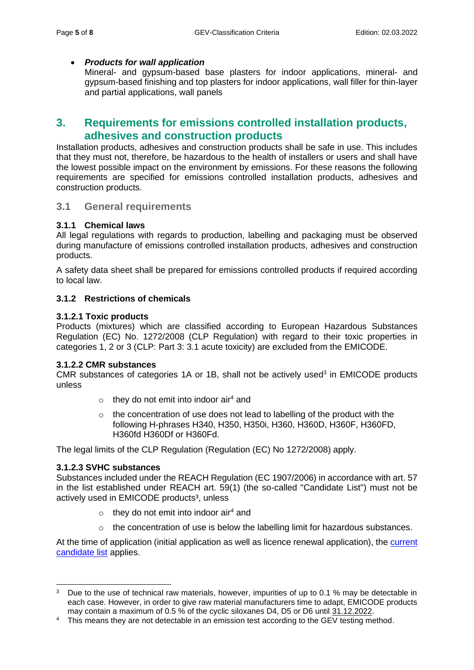#### • *Products for wall application*

Mineral- and gypsum-based base plasters for indoor applications, mineral- and gypsum-based finishing and top plasters for indoor applications, wall filler for thin-layer and partial applications, wall panels

# <span id="page-4-0"></span>**3. Requirements for emissions controlled installation products, adhesives and construction products**

Installation products, adhesives and construction products shall be safe in use. This includes that they must not, therefore, be hazardous to the health of installers or users and shall have the lowest possible impact on the environment by emissions. For these reasons the following requirements are specified for emissions controlled installation products, adhesives and construction products.

#### <span id="page-4-1"></span>**3.1 General requirements**

#### <span id="page-4-2"></span>**3.1.1 Chemical laws**

All legal regulations with regards to production, labelling and packaging must be observed during manufacture of emissions controlled installation products, adhesives and construction products.

A safety data sheet shall be prepared for emissions controlled products if required according to local law.

#### <span id="page-4-3"></span>**3.1.2 Restrictions of chemicals**

#### <span id="page-4-4"></span>**3.1.2.1 Toxic products**

Products (mixtures) which are classified according to European Hazardous Substances Regulation (EC) No. 1272/2008 (CLP Regulation) with regard to their toxic properties in categories 1, 2 or 3 (CLP: Part 3: 3.1 acute toxicity) are excluded from the EMICODE.

#### <span id="page-4-5"></span>**3.1.2.2 CMR substances**

CMR substances of categories  $1A$  or  $1B$ , shall not be actively used<sup>3</sup> in EMICODE products unless

- $\circ$  they do not emit into indoor air<sup>4</sup> and
- $\circ$  the concentration of use does not lead to labelling of the product with the following H-phrases H340, H350, H350i, H360, H360D, H360F, H360FD, H360fd H360Df or H360Fd.

The legal limits of the CLP Regulation (Regulation (EC) No 1272/2008) apply.

#### <span id="page-4-6"></span>**3.1.2.3 SVHC substances**

Substances included under the REACH Regulation (EC 1907/2006) in accordance with art. 57 in the list established under REACH art. 59(1) (the so-called "Candidate List") must not be actively used in EMICODE products<sup>3</sup>, unless

- $\circ$  they do not emit into indoor air<sup>4</sup> and
- $\circ$  the concentration of use is below the labelling limit for hazardous substances.

At the time of application (initial application as well as licence renewal application), the [current](https://echa.europa.eu/de/candidate-list-table)  [candidate list](https://echa.europa.eu/de/candidate-list-table) applies.

<sup>&</sup>lt;sup>3</sup> Due to the use of technical raw materials, however, impurities of up to 0.1 % may be detectable in each case. However, in order to give raw material manufacturers time to adapt, EMICODE products may contain a maximum of 0.5 % of the cyclic siloxanes D4, D5 or D6 until 31.12.2022.

<sup>&</sup>lt;sup>4</sup> This means they are not detectable in an emission test according to the GEV testing method.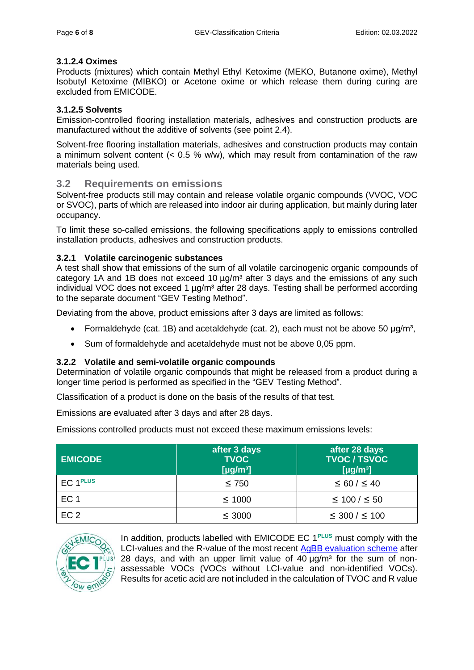#### <span id="page-5-0"></span>**3.1.2.4 Oximes**

Products (mixtures) which contain Methyl Ethyl Ketoxime (MEKO, Butanone oxime), Methyl Isobutyl Ketoxime (MIBKO) or Acetone oxime or which release them during curing are excluded from EMICODE.

#### <span id="page-5-1"></span>**3.1.2.5 Solvents**

Emission-controlled flooring installation materials, adhesives and construction products are manufactured without the additive of solvents (see point 2.4).

Solvent-free flooring installation materials, adhesives and construction products may contain a minimum solvent content (< 0.5 % w/w), which may result from contamination of the raw materials being used.

#### <span id="page-5-2"></span>**3.2 Requirements on emissions**

Solvent-free products still may contain and release volatile organic compounds (VVOC, VOC or SVOC), parts of which are released into indoor air during application, but mainly during later occupancy.

To limit these so-called emissions, the following specifications apply to emissions controlled installation products, adhesives and construction products.

#### <span id="page-5-3"></span>**3.2.1 Volatile carcinogenic substances**

A test shall show that emissions of the sum of all volatile carcinogenic organic compounds of category 1A and 1B does not exceed 10  $\mu$ g/m<sup>3</sup> after 3 days and the emissions of any such individual VOC does not exceed 1  $\mu q/m<sup>3</sup>$  after 28 days. Testing shall be performed according to the separate document "GEV Testing Method".

Deviating from the above, product emissions after 3 days are limited as follows:

- Formaldehyde (cat. 1B) and acetaldehyde (cat. 2), each must not be above 50  $\mu q/m^3$ ,
- Sum of formaldehyde and acetaldehyde must not be above 0,05 ppm.

#### <span id="page-5-4"></span>**3.2.2 Volatile and semi-volatile organic compounds**

Determination of volatile organic compounds that might be released from a product during a longer time period is performed as specified in the "GEV Testing Method".

Classification of a product is done on the basis of the results of that test.

Emissions are evaluated after 3 days and after 28 days.

Emissions controlled products must not exceed these maximum emissions levels:

| <b>EMICODE</b>        | after 3 days<br><b>TVOC</b><br>[ $\mu$ g/m <sup>3</sup> ] | after 28 days<br><b>TVOC / TSVOC</b><br>[ $\mu$ g/m <sup>3</sup> ] |
|-----------------------|-----------------------------------------------------------|--------------------------------------------------------------------|
| $EC1$ <sup>PLUS</sup> | $\leq 750$                                                | $\leq 60 / \leq 40$                                                |
| EC <sub>1</sub>       | $\leq 1000$                                               | $\leq 100 / \leq 50$                                               |
| EC <sub>2</sub>       | $\leq$ 3000                                               | $\leq 300 / \leq 100$                                              |



In addition, products labelled with EMICODE EC 1**PLUS** must comply with the LCI-values and the R-value of the most recent [AgBB evaluation scheme](https://www.umweltbundesamt.de/en/topics/health/commissions-working-groups/committee-for-health-related-evaluation-of-building#agbb-health-related-evaluation-of-emissions-of-volatile-organic-compounds-vvoc-voc-and-svoc-from-building-products) after 28 days, and with an upper limit value of  $40 \mu q/m<sup>3</sup>$  for the sum of nonassessable VOCs (VOCs without LCI-value and non-identified VOCs). Results for acetic acid are not included in the calculation of TVOC and R value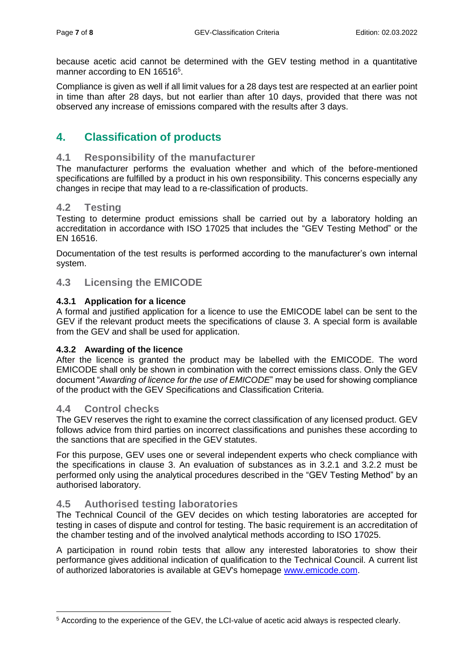because acetic acid cannot be determined with the GEV testing method in a quantitative manner according to EN 16516<sup>5</sup>.

Compliance is given as well if all limit values for a 28 days test are respected at an earlier point in time than after 28 days, but not earlier than after 10 days, provided that there was not observed any increase of emissions compared with the results after 3 days.

# <span id="page-6-0"></span>**4. Classification of products**

# <span id="page-6-1"></span>**4.1 Responsibility of the manufacturer**

The manufacturer performs the evaluation whether and which of the before-mentioned specifications are fulfilled by a product in his own responsibility. This concerns especially any changes in recipe that may lead to a re-classification of products.

# <span id="page-6-2"></span>**4.2 Testing**

Testing to determine product emissions shall be carried out by a laboratory holding an accreditation in accordance with ISO 17025 that includes the "GEV Testing Method" or the EN 16516.

Documentation of the test results is performed according to the manufacturer's own internal system.

# <span id="page-6-3"></span>**4.3 Licensing the EMICODE**

#### <span id="page-6-4"></span>**4.3.1 Application for a licence**

A formal and justified application for a licence to use the EMICODE label can be sent to the GEV if the relevant product meets the specifications of clause 3. A special form is available from the GEV and shall be used for application.

#### <span id="page-6-5"></span>**4.3.2 Awarding of the licence**

After the licence is granted the product may be labelled with the EMICODE. The word EMICODE shall only be shown in combination with the correct emissions class. Only the GEV document "*Awarding of licence for the use of EMICODE*" may be used for showing compliance of the product with the GEV Specifications and Classification Criteria.

# <span id="page-6-6"></span>**4.4 Control checks**

The GEV reserves the right to examine the correct classification of any licensed product. GEV follows advice from third parties on incorrect classifications and punishes these according to the sanctions that are specified in the GEV statutes.

For this purpose, GEV uses one or several independent experts who check compliance with the specifications in clause 3. An evaluation of substances as in 3.2.1 and 3.2.2 must be performed only using the analytical procedures described in the "GEV Testing Method" by an authorised laboratory.

# <span id="page-6-7"></span>**4.5 Authorised testing laboratories**

The Technical Council of the GEV decides on which testing laboratories are accepted for testing in cases of dispute and control for testing. The basic requirement is an accreditation of the chamber testing and of the involved analytical methods according to ISO 17025.

A participation in round robin tests that allow any interested laboratories to show their performance gives additional indication of qualification to the Technical Council. A current list of authorized laboratories is available at GEV's homepage [www.emicode.com.](http://www.emicode.com/)

<sup>5</sup> According to the experience of the GEV, the LCI-value of acetic acid always is respected clearly.